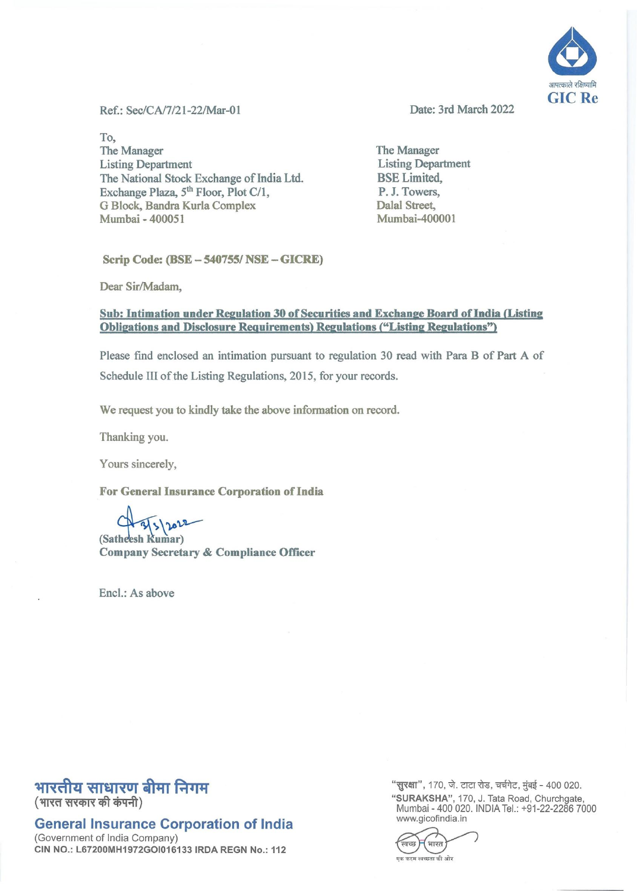

Ref.: Sec/CA/7/21-22/Mar-01 Date: 3rd March 2022

To, The Manager Listing Department The National Stock Exchange of India Ltd. Exchange Plaza, 5<sup>th</sup> Floor, Plot C/1, G Block, Bandra Kurla Complex Mumbai - 400051

The Manager Listing Department BSE Limited, P. J. Towers, Dalal Street, Mumbai-40000 1

Scrip Code: (BSE - 540755/ NSE - GICRE)

Dear Sir/Madam,

## Sub: Intimation under Regulation 30 of Securities and Exchange Board of India (Listing Obligations and Disclosure Requirements) Regulations ("Listing Regulations")

Please find enclosed an intimation pursuant to regulation 30 read with Para B of Part A of Schedule III of the Listing Regulations, 2015, for your records.

We request you to kindly take the above information on record.

Thanking you.

Yours sincerely,

For General Insurance Corporation of India

 $4\frac{2}{3}$   $20$ Satheesh Kumar)

Company Secretary & Compliance Officer

Encl.: As above

## भारतीय साधारण बीमा निगम

(भारत सरकार की कंपनी)

General Insurance Corporation of India

(Government of India Company) CIN NO.: L67200MH1972GOI016133 IRDA REGN No.: 112 "सुरक्षा", 170, जे. टाटा रोड, चर्चगेट, मुंबई - 400 020. "SURAKSHA", 170, J. Tata Road, Churchgate, Mumbai - 400020. INDIA Tel.: +91-22-22867000 www.gicofindia.in

भारत .<br>एक कदम स्वच्छता की ओर